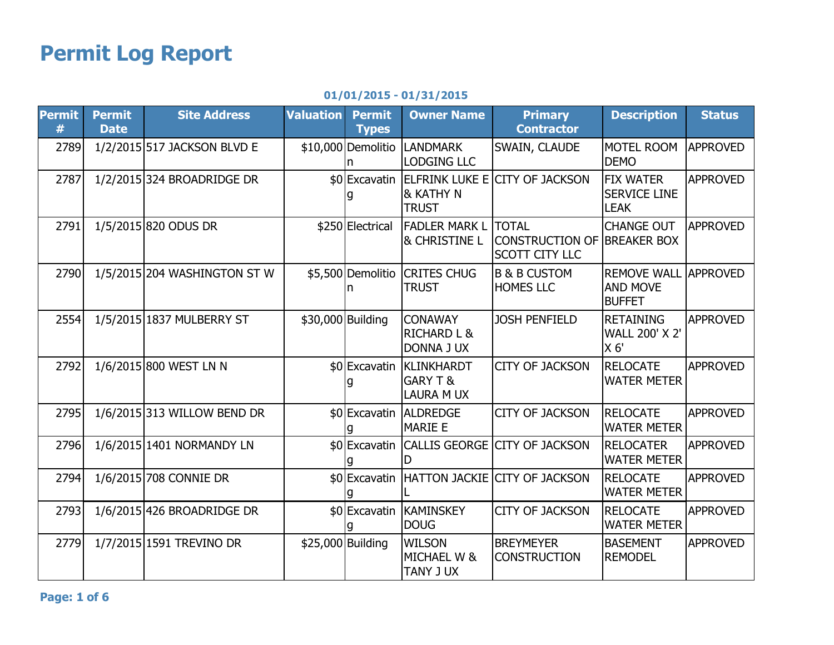## Permit Log Report

## 01/01/2015 - 01/31/2015

| <b>Permit</b><br># | <b>Permit</b><br><b>Date</b> | <b>Site Address</b>          | <b>Valuation</b>  | <b>Permit</b><br><b>Types</b> | <b>Owner Name</b>                                             | <b>Primary</b><br><b>Contractor</b>                                         | <b>Description</b>                                          | <b>Status</b>   |
|--------------------|------------------------------|------------------------------|-------------------|-------------------------------|---------------------------------------------------------------|-----------------------------------------------------------------------------|-------------------------------------------------------------|-----------------|
| 2789               |                              | 1/2/2015 517 JACKSON BLVD E  |                   | \$10,000 Demolitio            | <b>LANDMARK</b><br><b>LODGING LLC</b>                         | SWAIN, CLAUDE                                                               | <b>MOTEL ROOM</b><br><b>DEMO</b>                            | <b>APPROVED</b> |
| 2787               |                              | 1/2/2015 324 BROADRIDGE DR   |                   |                               | & KATHY N<br><b>TRUST</b>                                     | \$0 Excavatin ELFRINK LUKE E CITY OF JACKSON                                | <b>FIX WATER</b><br><b>SERVICE LINE</b><br><b>LEAK</b>      | <b>APPROVED</b> |
| 2791               |                              | 1/5/2015 820 ODUS DR         |                   | \$250 Electrical              | <b>FADLER MARK L</b><br><b>&amp; CHRISTINE L</b>              | <b>TOTAL</b><br><b>CONSTRUCTION OF BREAKER BOX</b><br><b>SCOTT CITY LLC</b> | <b>CHANGE OUT</b>                                           | <b>APPROVED</b> |
| 2790               |                              | 1/5/2015 204 WASHINGTON ST W |                   | \$5,500 Demolitio             | <b>CRITES CHUG</b><br><b>TRUST</b>                            | <b>B &amp; B CUSTOM</b><br><b>HOMES LLC</b>                                 | <b>REMOVE WALL</b><br><b>AND MOVE</b><br><b>BUFFET</b>      | <b>APPROVED</b> |
| 2554               |                              | 1/5/2015 1837 MULBERRY ST    |                   | \$30,000 Building             | <b>CONAWAY</b><br><b>RICHARD L &amp;</b><br><b>DONNA J UX</b> | <b>JOSH PENFIELD</b>                                                        | <b>RETAINING</b><br><b>WALL 200' X 2'</b><br>X <sub>6</sub> | <b>APPROVED</b> |
| 2792               |                              | 1/6/2015 800 WEST LN N       |                   |                               | \$0 Excavatin KLINKHARDT<br>GARY T &<br><b>LAURA M UX</b>     | <b>CITY OF JACKSON</b>                                                      | <b>RELOCATE</b><br><b>WATER METER</b>                       | <b>APPROVED</b> |
| 2795               |                              | 1/6/2015 313 WILLOW BEND DR  |                   | \$0 Excavatin                 | <b>ALDREDGE</b><br><b>MARIE E</b>                             | <b>CITY OF JACKSON</b>                                                      | <b>RELOCATE</b><br><b>WATER METER</b>                       | <b>APPROVED</b> |
| 2796               |                              | 1/6/2015 1401 NORMANDY LN    |                   |                               |                                                               | \$0 Excavatin CALLIS GEORGE CITY OF JACKSON                                 | <b>RELOCATER</b><br><b>WATER METER</b>                      | <b>APPROVED</b> |
| 2794               |                              | 1/6/2015 708 CONNIE DR       |                   |                               |                                                               | \$0 Excavatin HATTON JACKIE CITY OF JACKSON                                 | <b>RELOCATE</b><br><b>WATER METER</b>                       | <b>APPROVED</b> |
| 2793               |                              | 1/6/2015 426 BROADRIDGE DR   |                   |                               | \$0 Excavatin KAMINSKEY<br><b>DOUG</b>                        | <b>CITY OF JACKSON</b>                                                      | <b>RELOCATE</b><br><b>WATER METER</b>                       | <b>APPROVED</b> |
| 2779               |                              | 1/7/2015 1591 TREVINO DR     | \$25,000 Building |                               | <b>WILSON</b><br><b>MICHAEL W &amp;</b><br>TANY J UX          | <b>BREYMEYER</b><br><b>CONSTRUCTION</b>                                     | <b>BASEMENT</b><br><b>REMODEL</b>                           | <b>APPROVED</b> |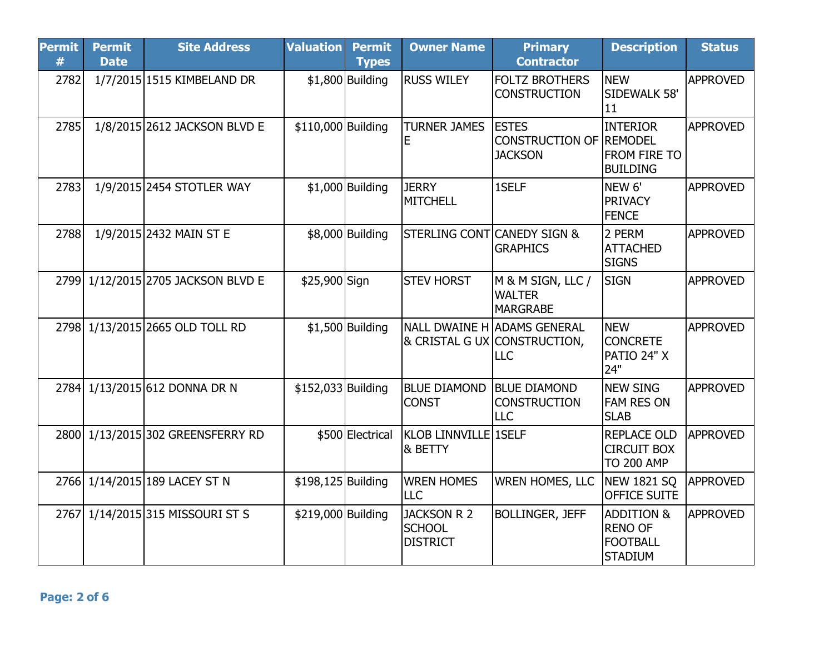| <b>Permit</b><br># | <b>Permit</b><br><b>Date</b> | <b>Site Address</b>           | <b>Valuation</b>   | <b>Permit</b><br><b>Types</b> | <b>Owner Name</b>                                      | <b>Primary</b><br><b>Contractor</b>                                | <b>Description</b>                                                           | <b>Status</b>   |
|--------------------|------------------------------|-------------------------------|--------------------|-------------------------------|--------------------------------------------------------|--------------------------------------------------------------------|------------------------------------------------------------------------------|-----------------|
| 2782               |                              | 1/7/2015 1515 KIMBELAND DR    |                    | $$1,800$ Building             | <b>RUSS WILEY</b>                                      | <b>FOLTZ BROTHERS</b><br><b>CONSTRUCTION</b>                       | <b>NEW</b><br>SIDEWALK 58'<br>11                                             | <b>APPROVED</b> |
| 2785               |                              | 1/8/2015 2612 JACKSON BLVD E  | \$110,000 Building |                               | <b>TURNER JAMES</b><br>E                               | <b>ESTES</b><br>CONSTRUCTION OF REMODEL<br><b>JACKSON</b>          | <b>INTERIOR</b><br><b>FROM FIRE TO</b><br><b>BUILDING</b>                    | <b>APPROVED</b> |
| 2783               |                              | 1/9/2015 2454 STOTLER WAY     |                    | $$1,000$ Building             | <b>JERRY</b><br><b>MITCHELL</b>                        | 1SELF                                                              | NEW <sub>6'</sub><br><b>PRIVACY</b><br><b>FENCE</b>                          | <b>APPROVED</b> |
| 2788               |                              | 1/9/2015 2432 MAIN ST E       |                    | \$8,000 Building              | STERLING CONT CANEDY SIGN &                            | <b>GRAPHICS</b>                                                    | 2 PERM<br><b>ATTACHED</b><br><b>SIGNS</b>                                    | <b>APPROVED</b> |
| 2799               |                              | 1/12/2015 2705 JACKSON BLVD E | \$25,900 Sign      |                               | <b>STEV HORST</b>                                      | M & M SIGN, LLC /<br><b>WALTER</b><br><b>MARGRABE</b>              | <b>SIGN</b>                                                                  | <b>APPROVED</b> |
| 2798               |                              | 1/13/2015 2665 OLD TOLL RD    |                    | $$1,500$ Building             |                                                        | NALL DWAINE H ADAMS GENERAL<br>& CRISTAL G UX CONSTRUCTION,<br>LLC | <b>NEW</b><br><b>CONCRETE</b><br>PATIO 24" X<br>24"                          | <b>APPROVED</b> |
|                    |                              | 2784 1/13/2015 612 DONNA DR N | \$152,033 Building |                               | <b>BLUE DIAMOND</b><br><b>CONST</b>                    | <b>BLUE DIAMOND</b><br><b>CONSTRUCTION</b><br><b>LLC</b>           | <b>NEW SING</b><br><b>FAM RES ON</b><br><b>SLAB</b>                          | <b>APPROVED</b> |
| 2800               |                              | 1/13/2015 302 GREENSFERRY RD  |                    | \$500 Electrical              | KLOB LINNVILLE 1SELF<br>& BETTY                        |                                                                    | <b>REPLACE OLD</b><br><b>CIRCUIT BOX</b><br><b>TO 200 AMP</b>                | <b>APPROVED</b> |
|                    |                              | 2766 1/14/2015 189 LACEY ST N | \$198,125 Building |                               | <b>WREN HOMES</b><br><b>LLC</b>                        | <b>WREN HOMES, LLC</b>                                             | <b>NEW 1821 SQ</b><br>OFFICE SUITE                                           | <b>APPROVED</b> |
| 2767               |                              | 1/14/2015 315 MISSOURI ST S   | \$219,000 Building |                               | <b>JACKSON R 2</b><br><b>SCHOOL</b><br><b>DISTRICT</b> | <b>BOLLINGER, JEFF</b>                                             | <b>ADDITION &amp;</b><br><b>RENO OF</b><br><b>FOOTBALL</b><br><b>STADIUM</b> | <b>APPROVED</b> |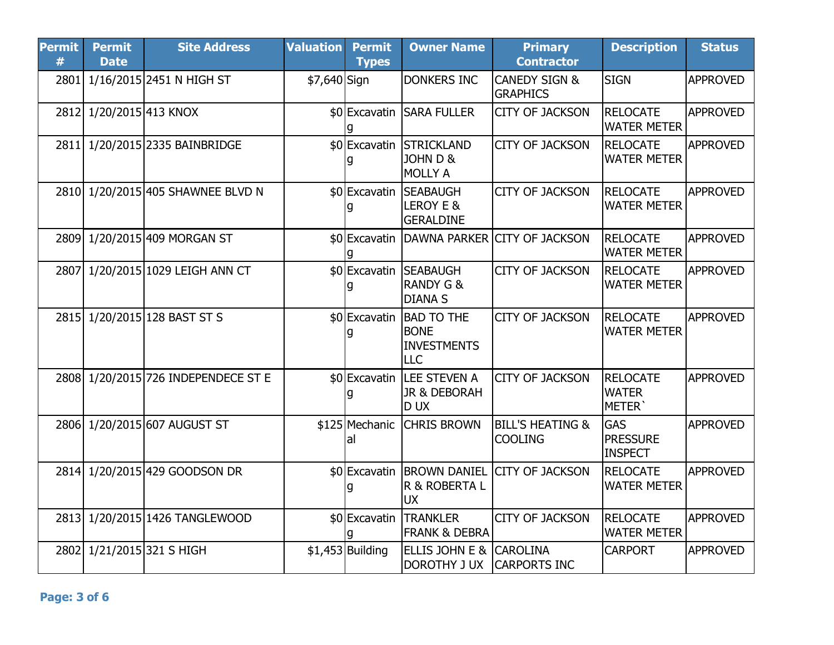| <b>Permit</b><br># | <b>Permit</b><br><b>Date</b> | <b>Site Address</b>                 | <b>Valuation</b> | <b>Permit</b><br><b>Types</b> | <b>Owner Name</b>                                                    | <b>Primary</b><br><b>Contractor</b>           | <b>Description</b>                              | <b>Status</b>   |
|--------------------|------------------------------|-------------------------------------|------------------|-------------------------------|----------------------------------------------------------------------|-----------------------------------------------|-------------------------------------------------|-----------------|
| 2801               |                              | 1/16/2015 2451 N HIGH ST            | \$7,640 Sign     |                               | <b>DONKERS INC</b>                                                   | <b>CANEDY SIGN &amp;</b><br><b>GRAPHICS</b>   | <b>SIGN</b>                                     | <b>APPROVED</b> |
| 2812               | 1/20/2015 413 KNOX           |                                     |                  | a                             | \$0 Excavatin SARA FULLER                                            | <b>CITY OF JACKSON</b>                        | <b>RELOCATE</b><br><b>WATER METER</b>           | <b>APPROVED</b> |
| 2811               |                              | 1/20/2015 2335 BAINBRIDGE           |                  | q                             | \$0 Excavatin STRICKLAND<br><b>JOHN D &amp;</b><br><b>MOLLY A</b>    | <b>CITY OF JACKSON</b>                        | <b>RELOCATE</b><br><b>WATER METER</b>           | <b>APPROVED</b> |
|                    |                              | 2810 1/20/2015 405 SHAWNEE BLVD N   |                  | g                             | \$0 Excavatin SEABAUGH<br>LEROY E &<br><b>GERALDINE</b>              | <b>CITY OF JACKSON</b>                        | <b>RELOCATE</b><br><b>WATER METER</b>           | <b>APPROVED</b> |
| 2809               |                              | 1/20/2015 409 MORGAN ST             |                  | g                             |                                                                      | \$0 Excavatin DAWNA PARKER CITY OF JACKSON    | <b>RELOCATE</b><br><b>WATER METER</b>           | <b>APPROVED</b> |
| 2807               |                              | 1/20/2015 1029 LEIGH ANN CT         |                  | g                             | \$0 Excavatin SEABAUGH<br><b>RANDY G &amp;</b><br><b>DIANA S</b>     | <b>CITY OF JACKSON</b>                        | <b>RELOCATE</b><br><b>WATER METER</b>           | <b>APPROVED</b> |
| 2815               |                              | 1/20/2015 128 BAST ST S             |                  | g                             | \$0 Excavatin BAD TO THE<br><b>BONE</b><br><b>INVESTMENTS</b><br>LLC | <b>CITY OF JACKSON</b>                        | <b>RELOCATE</b><br><b>WATER METER</b>           | <b>APPROVED</b> |
|                    |                              | 2808 1/20/2015 726 INDEPENDECE ST E |                  | g                             | \$0 Excavatin LEE STEVEN A<br>JR & DEBORAH<br><b>DUX</b>             | <b>CITY OF JACKSON</b>                        | RELOCATE<br><b>WATER</b><br>METER'              | <b>APPROVED</b> |
| 2806               |                              | 1/20/2015 607 AUGUST ST             |                  | \$125 Mechanic<br>al          | <b>CHRIS BROWN</b>                                                   | <b>BILL'S HEATING &amp;</b><br><b>COOLING</b> | <b>GAS</b><br><b>PRESSURE</b><br><b>INSPECT</b> | <b>APPROVED</b> |
|                    |                              | 2814 1/20/2015 429 GOODSON DR       |                  | g                             | \$0 Excavatin BROWN DANIEL<br>R & ROBERTA L<br><b>UX</b>             | <b>CITY OF JACKSON</b>                        | <b>RELOCATE</b><br><b>WATER METER</b>           | <b>APPROVED</b> |
|                    |                              | 2813 1/20/2015 1426 TANGLEWOOD      |                  | \$0 Excavatin                 | <b>TRANKLER</b><br><b>FRANK &amp; DEBRA</b>                          | <b>CITY OF JACKSON</b>                        | <b>RELOCATE</b><br><b>WATER METER</b>           | <b>APPROVED</b> |
|                    |                              | 2802 1/21/2015 321 S HIGH           |                  | $$1,453$ Building             | ELLIS JOHN E &<br><b>DOROTHY J UX</b>                                | <b>CAROLINA</b><br><b>CARPORTS INC</b>        | <b>CARPORT</b>                                  | <b>APPROVED</b> |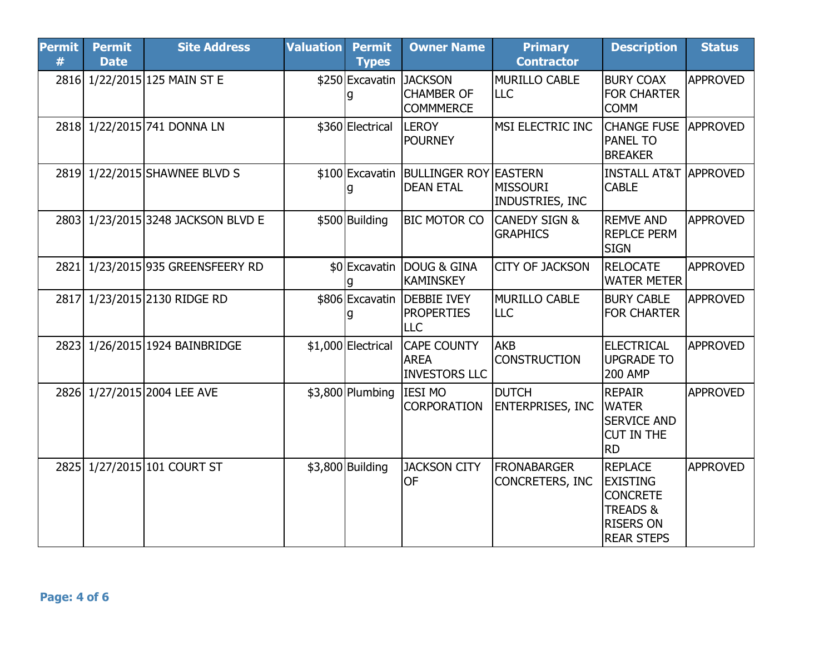| <b>Permit</b><br># | <b>Permit</b><br><b>Date</b> | <b>Site Address</b>                | <b>Valuation</b> | <b>Permit</b><br><b>Types</b> | <b>Owner Name</b>                                         | <b>Primary</b><br><b>Contractor</b>         | <b>Description</b>                                                                                                   | <b>Status</b>   |
|--------------------|------------------------------|------------------------------------|------------------|-------------------------------|-----------------------------------------------------------|---------------------------------------------|----------------------------------------------------------------------------------------------------------------------|-----------------|
| 2816               |                              | 1/22/2015 125 MAIN ST E            |                  | \$250 Excavatin JACKSON<br>q  | <b>CHAMBER OF</b><br><b>COMMMERCE</b>                     | MURILLO CABLE<br>ILLC                       | <b>BURY COAX</b><br><b>FOR CHARTER</b><br><b>COMM</b>                                                                | <b>APPROVED</b> |
|                    |                              | 2818 1/22/2015 741 DONNA LN        |                  | \$360 Electrical              | <b>LEROY</b><br><b>POURNEY</b>                            | MSI ELECTRIC INC                            | <b>CHANGE FUSE</b><br><b>PANEL TO</b><br><b>BREAKER</b>                                                              | <b>APPROVED</b> |
|                    |                              | 2819 1/22/2015 SHAWNEE BLVD S      |                  | q                             | \$100 Excavatin BULLINGER ROY EASTERN<br><b>DEAN ETAL</b> | MISSOURI<br>INDUSTRIES, INC                 | <b>INSTALL AT&amp;T</b><br><b>CABLE</b>                                                                              | <b>APPROVED</b> |
|                    |                              | 2803 1/23/2015 3248 JACKSON BLVD E |                  | \$500 Building                | <b>BIC MOTOR CO</b>                                       | <b>CANEDY SIGN &amp;</b><br><b>GRAPHICS</b> | <b>REMVE AND</b><br><b>REPLCE PERM</b><br><b>SIGN</b>                                                                | <b>APPROVED</b> |
|                    |                              | 2821 1/23/2015 935 GREENSFEERY RD  |                  |                               | \$0 Excavatin DOUG & GINA<br><b>KAMINSKEY</b>             | <b>CITY OF JACKSON</b>                      | <b>RELOCATE</b><br><b>WATER METER</b>                                                                                | <b>APPROVED</b> |
|                    |                              | 2817 1/23/2015 2130 RIDGE RD       |                  | \$806 Excavatin               | <b>IDEBBIE IVEY</b><br><b>PROPERTIES</b><br><b>LLC</b>    | MURILLO CABLE<br>ILLC                       | <b>BURY CABLE</b><br><b>FOR CHARTER</b>                                                                              | <b>APPROVED</b> |
| 2823               |                              | 1/26/2015 1924 BAINBRIDGE          |                  | \$1,000 Electrical            | <b>CAPE COUNTY</b><br><b>AREA</b><br><b>INVESTORS LLC</b> | AKB<br><b>CONSTRUCTION</b>                  | <b>ELECTRICAL</b><br><b>UPGRADE TO</b><br><b>200 AMP</b>                                                             | <b>APPROVED</b> |
| 2826               |                              | 1/27/2015 2004 LEE AVE             |                  | $$3,800$ Plumbing             | <b>IESI MO</b><br><b>CORPORATION</b>                      | <b>DUTCH</b><br><b>ENTERPRISES, INC</b>     | <b>REPAIR</b><br><b>WATER</b><br><b>SERVICE AND</b><br><b>CUT IN THE</b><br><b>RD</b>                                | <b>APPROVED</b> |
| 2825               |                              | 1/27/2015 101 COURT ST             |                  | $$3,800$ Building             | <b>JACKSON CITY</b><br><b>OF</b>                          | <b>FRONABARGER</b><br>CONCRETERS, INC       | <b>REPLACE</b><br><b>EXISTING</b><br><b>CONCRETE</b><br><b>TREADS &amp;</b><br><b>RISERS ON</b><br><b>REAR STEPS</b> | <b>APPROVED</b> |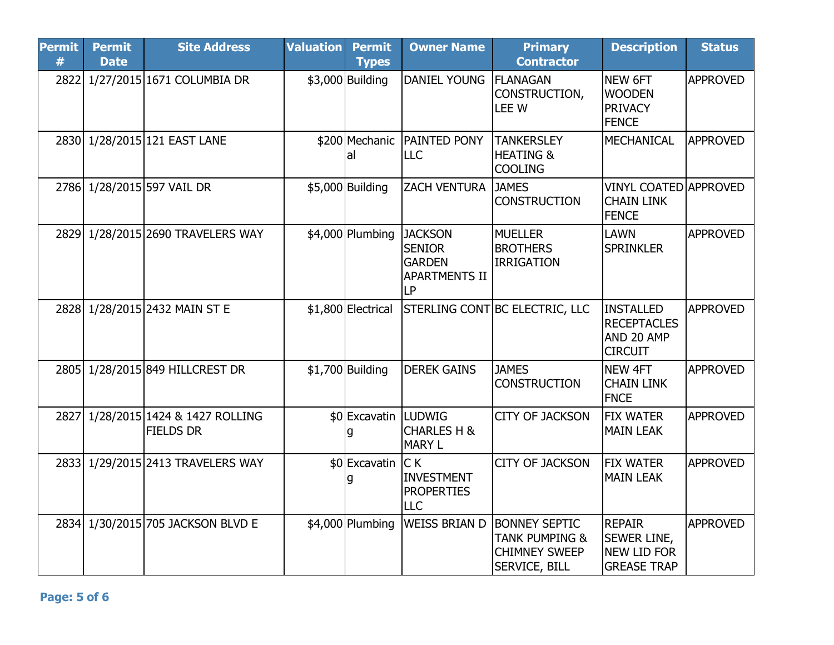| <b>Permit</b><br># | <b>Permit</b><br><b>Date</b> | <b>Site Address</b>                               | <b>Valuation</b> | <b>Permit</b><br><b>Types</b> | <b>Owner Name</b>                                                                     | <b>Primary</b><br><b>Contractor</b>                                                               | <b>Description</b>                                                              | <b>Status</b>   |
|--------------------|------------------------------|---------------------------------------------------|------------------|-------------------------------|---------------------------------------------------------------------------------------|---------------------------------------------------------------------------------------------------|---------------------------------------------------------------------------------|-----------------|
|                    |                              | 2822 1/27/2015 1671 COLUMBIA DR                   |                  | \$3,000 Building              | DANIEL YOUNG                                                                          | <b>FLANAGAN</b><br>CONSTRUCTION,<br>LEE W                                                         | NEW 6FT<br><b>WOODEN</b><br><b>PRIVACY</b><br><b>FENCE</b>                      | <b>APPROVED</b> |
|                    |                              | 2830 1/28/2015 121 EAST LANE                      |                  | lal                           | \$200 Mechanic PAINTED PONY<br><b>LLC</b>                                             | <b>TANKERSLEY</b><br><b>HEATING &amp;</b><br><b>COOLING</b>                                       | <b>MECHANICAL</b>                                                               | <b>APPROVED</b> |
|                    |                              | 2786 1/28/2015 597 VAIL DR                        |                  | \$5,000 Building              | <b>ZACH VENTURA</b>                                                                   | <b>JAMES</b><br><b>CONSTRUCTION</b>                                                               | <b>VINYL COATED APPROVED</b><br><b>CHAIN LINK</b><br><b>FENCE</b>               |                 |
|                    |                              | 2829 1/28/2015 2690 TRAVELERS WAY                 |                  | \$4,000 Plumbing              | <b>JACKSON</b><br><b>SENIOR</b><br><b>GARDEN</b><br><b>APARTMENTS II</b><br><b>LP</b> | <b>MUELLER</b><br><b>BROTHERS</b><br><b>IRRIGATION</b>                                            | <b>LAWN</b><br><b>SPRINKLER</b>                                                 | <b>APPROVED</b> |
|                    |                              | 2828 1/28/2015 2432 MAIN ST E                     |                  |                               |                                                                                       | \$1,800 Electrical STERLING CONT BC ELECTRIC, LLC                                                 | <b>INSTALLED</b><br><b>RECEPTACLES</b><br>AND 20 AMP<br><b>CIRCUIT</b>          | <b>APPROVED</b> |
| 2805               |                              | 1/28/2015 849 HILLCREST DR                        |                  | $$1,700$ Building             | <b>DEREK GAINS</b>                                                                    | <b>JAMES</b><br><b>CONSTRUCTION</b>                                                               | <b>NEW 4FT</b><br><b>CHAIN LINK</b><br><b>FNCE</b>                              | <b>APPROVED</b> |
| 2827               |                              | 1/28/2015 1424 & 1427 ROLLING<br><b>FIELDS DR</b> |                  | \$0 Excavatin LUDWIG          | <b>CHARLES H &amp;</b><br><b>MARY L</b>                                               | <b>CITY OF JACKSON</b>                                                                            | <b>FIX WATER</b><br><b>MAIN LEAK</b>                                            | <b>APPROVED</b> |
|                    |                              | 2833 1/29/2015 2413 TRAVELERS WAY                 |                  | \$0 Excavatin<br>q            | C K<br><b>INVESTMENT</b><br><b>PROPERTIES</b><br>LLC                                  | <b>CITY OF JACKSON</b>                                                                            | <b>FIX WATER</b><br><b>MAIN LEAK</b>                                            | <b>APPROVED</b> |
| 2834               |                              | 1/30/2015 705 JACKSON BLVD E                      |                  |                               | \$4,000 Plumbing WEISS BRIAN D                                                        | <b>BONNEY SEPTIC</b><br><b>TANK PUMPING &amp;</b><br><b>CHIMNEY SWEEP</b><br><b>SERVICE, BILL</b> | <b>REPAIR</b><br><b>SEWER LINE,</b><br><b>NEW LID FOR</b><br><b>GREASE TRAP</b> | <b>APPROVED</b> |